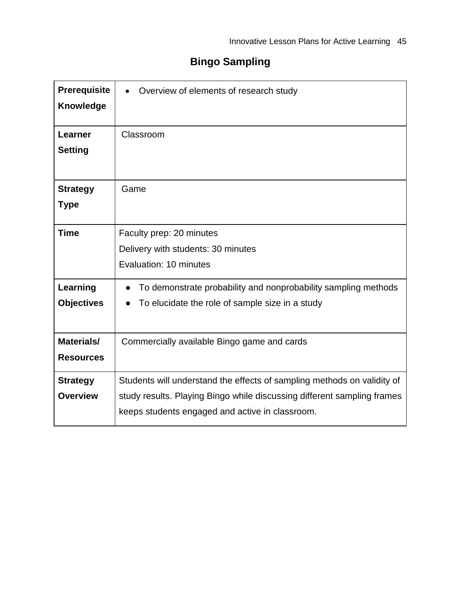## **Bingo Sampling**

| Prerequisite      | Overview of elements of research study                                  |
|-------------------|-------------------------------------------------------------------------|
| Knowledge         |                                                                         |
| Learner           | Classroom                                                               |
| <b>Setting</b>    |                                                                         |
|                   |                                                                         |
| <b>Strategy</b>   | Game                                                                    |
| <b>Type</b>       |                                                                         |
| <b>Time</b>       | Faculty prep: 20 minutes                                                |
|                   | Delivery with students: 30 minutes                                      |
|                   | Evaluation: 10 minutes                                                  |
| Learning          | To demonstrate probability and nonprobability sampling methods          |
| <b>Objectives</b> | To elucidate the role of sample size in a study                         |
|                   |                                                                         |
| Materials/        | Commercially available Bingo game and cards                             |
| <b>Resources</b>  |                                                                         |
| <b>Strategy</b>   | Students will understand the effects of sampling methods on validity of |
| <b>Overview</b>   | study results. Playing Bingo while discussing different sampling frames |
|                   | keeps students engaged and active in classroom.                         |